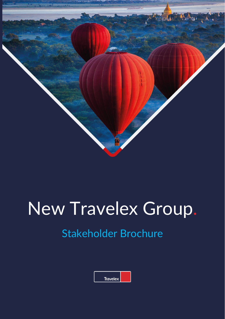

# New Travelex Group.

## Stakeholder Brochure

| Travelex |  |
|----------|--|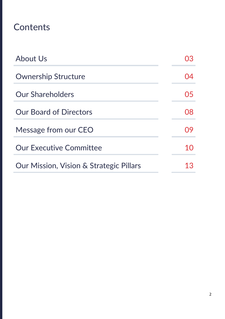## **Contents**

| <b>About Us</b>                         | 03   |
|-----------------------------------------|------|
| <b>Ownership Structure</b>              | ( )4 |
| <b>Our Shareholders</b>                 | 05   |
| <b>Our Board of Directors</b>           | 08   |
| Message from our CEO                    | 09   |
| <b>Our Executive Committee</b>          | 10   |
| Our Mission, Vision & Strategic Pillars | 13   |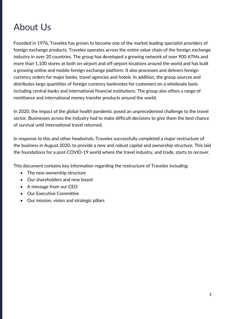## About Us

Founded in 1976, Travelex has grown to become one of the market leading specialist providers of foreign exchange products. Travelex operates across the entire value chain of the foreign exchange industry in over 20 countries. The group has developed a growing network of over 900 ATMs and more than 1,100 stores at both on-airport and off-airport locations around the world and has built a growing online and mobile foreign exchange platform. It also processes and delivers foreign currency orders for major banks, travel agencies and hotels. In addition, the group sources and distributes large quantities of foreign currency banknotes for customers on a wholesale basis including central banks and international financial institutions. The group also offers a range of remittance and international money transfer products around the world.

In 2020, the impact of the global health pandemic posed an unprecedented challenge to the travel sector. Businesses across the industry had to make difficult decisions to give them the best chance of survival until international travel returned.

In response to this and other headwinds, Travelex successfully completed a major restructure of the business in August 2020, to provide a new and robust capital and ownership structure. This laid the foundations for a post-COVID-19 world where the travel industry, and trade, starts to recover.

This document contains key information regarding the restructure of Travelex including:

- The new ownership structure
- Our shareholders and new board
- A message from our CEO
- Our Executive Committee
- Our mission, vision and strategic pillars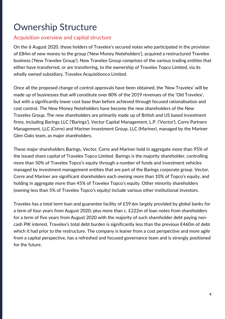## Ownership Structure

#### Acquisition overview and capital structure

On the 6 August 2020, those holders of Travelex's secured notes who participated in the provision of £84m of new money to the group ('New Money Noteholders'), acquired a restructured Travelex business ('New Travelex Group'). New Travelex Group comprises of the various trading entities that either have transferred, or are transferring, to the ownership of Travelex Topco Limited, via its wholly owned subsidiary, Travelex Acquisitionco Limited.

Once all the proposed change of control approvals have been obtained, the 'New Travelex' will be made up of businesses that will constitute over 80% of the 2019 revenues of the 'Old Travelex', but with a significantly lower cost base than before achieved through focused rationalisation and cost control. The New Money Noteholders have become the new shareholders of the New Travelex Group. The new shareholders are primarily made up of British and US based investment firms, including Barings LLC ('Barings'), Vector Capital Management, L.P. ('Vector'), Corre Partners Management, LLC (Corre) and Mariner Investment Group, LLC (Mariner), managed by the Mariner Glen Oaks team, as major shareholders.

These major shareholders Barings, Vector, Corre and Mariner hold in aggregate more than 95% of the issued share capital of Travelex Topco Limited. Barings is the majority shareholder, controlling more than 50% of Travelex Topco's equity through a number of funds and investment vehicles managed by investment management entities that are part of the Barings corporate group. Vector, Corre and Mariner are significant shareholders each owning more than 10% of Topco's equity, and holding in aggregate more than 45% of Travelex Topco's equity. Other minority shareholders (owning less than 5% of Travelex Topco's equity) include various other institutional investors.

Travelex has a total term loan and guarantee facility of £59.6m largely provided by global banks for a term of four years from August 2020; plus more than c. £222m of loan notes from shareholders for a term of five years from August 2020 with the majority of such shareholder debt paying noncash PIK interest. Travelex's total debt burden is significantly less than the previous €460m of debt which it had prior to the restructure. The company is leaner from a cost perspective and more agile from a capital perspective, has a refreshed and focused governance team and is strongly positioned for the future.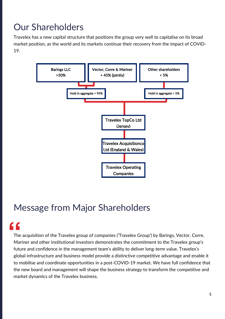## Our Shareholders

Travelex has a new capital structure that positions the group very well to capitalise on its broad market position, as the world and its markets continue their recovery from the impact of COVID-19.



## Message from Major Shareholders

## **"**

The acquisition of the Travelex group of companies ('Travelex Group') by Barings, Vector, Corre, Mariner and other institutional investors demonstrates the commitment to the Travelex group's future and confidence in the management team's ability to deliver long-term value. Travelex's global infrastructure and business model provide a distinctive competitive advantage and enable it to mobilise and coordinate opportunities in a post-COVID-19 market. We have full confidence that the new board and management will shape the business strategy to transform the competitive and market dynamics of the Travelex business.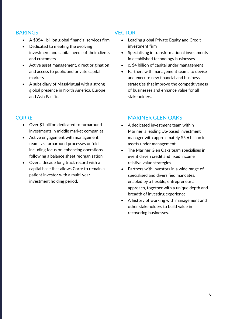#### BARINGS

- A \$354+ billion global financial services firm
- Dedicated to meeting the evolving investment and capital needs of their clients and customers
- Active asset management, direct origination and access to public and private capital markets
- A subsidiary of MassMutual with a strong global presence in North America, Europe and Asia Pacific.

### **CORRE**

- Over \$1 billion dedicated to turnaround investments in middle market companies
- Active engagement with management teams as turnaround processes unfold, including focus on enhancing operations following a balance sheet reorganisation
- Over a decade long track record with a capital base that allows Corre to remain a patient investor with a multi-year investment holding period.

#### **VECTOR**

- Leading global Private Equity and Credit investment firm
- Specialising in transformational investments in established technology businesses
- c. \$4 billion of capital under management
- Partners with management teams to devise and execute new financial and business strategies that improve the competitiveness of businesses and enhance value for all stakeholders.

### MARINER GLEN OAKS

- A dedicated investment team within Mariner, a leading US-based investment manager with approximately \$5.6 billion in assets under management
- The Mariner Glen Oaks team specialises in event driven credit and fixed income relative value strategies
- Partners with investors in a wide range of specialised and diversified mandates, enabled by a flexible, entrepreneurial approach, together with a unique depth and breadth of investing experience
- A history of working with management and other stakeholders to build value in recovering businesses.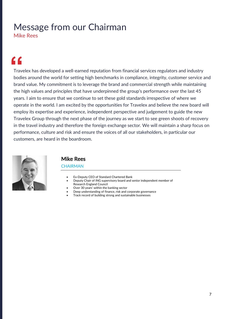## Message from our Chairman

Mike Rees

## **"**

Travelex has developed a well-earned reputation from financial services regulators and industry bodies around the world for setting high benchmarks in compliance, integrity, customer service and brand value. My commitment is to leverage the brand and commercial strength while maintaining the high values and principles that have underpinned the group's performance over the last 45 years. I aim to ensure that we continue to set these gold standards irrespective of where we operate in the world. I am excited by the opportunities for Travelex and believe the new board will employ its expertise and experience, independent perspective and judgement to guide the new Travelex Group through the next phase of the journey as we start to see green shoots of recovery in the travel industry and therefore the foreign exchange sector. We will maintain a sharp focus on performance, culture and risk and ensure the voices of all our stakeholders, in particular our customers, are heard in the boardroom.



### Mike Rees

#### **CHAIRMAN**

- Ex-Deputy CEO of Standard Chartered Bank
- Deputy Chair of ING supervisory board and senior independent member of Research England Council
- Over 30 years' within the banking sector
- Deep understanding of finance, risk and corporate governance
- Track record of building strong and sustainable businesses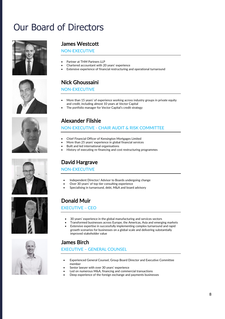## Our Board of Directors













#### James Westcott

#### NON-EXECUTIVE

- Partner at THM Partners LLP
- Chartered accountant with 20 years' experience
- Extensive experience of financial restructuring and operational turnaround

### Nick Ghoussaini

#### NON-EXECUTIVE

- More than 15 years' of experience working across industry groups in private equity and credit, including almost 10 years at Vector Capital
- The portfolio manager for Vector Capital's credit strategy

### Alexander Filshie

#### NON-EXECUTIVE - CHAIR AUDIT & RISK COMMITTEE

- Chief Financial Officer of Kensington Mortgages Limited
- More than 25 years' experience in global financial services
- Built and led international organisations
- History of executing re-financing and cost restructuring programmes

### David Hargrave

#### NON-EXECUTIVE

- Independent Director/ Advisor to Boards undergoing change
- Over 30 years' of top tier consulting experience
- Specialising in turnaround, debt, M&A and board advisory

### Donald Muir

#### EXECUTIVE − CEO

- 30 years' experience in the global manufacturing and services sectors
- Transformed businesses across Europe, the Americas, Asia and emerging markets • Extensive expertise in successfully implementing complex turnaround and rapid
- growth scenarios for businesses on a global scale and delivering substantially improved stakeholder value

### James Birch

#### EXECUTIVE – GENERAL COUNSEL

- Experienced General Counsel, Group Board Director and Executive Committee member
- Senior lawyer with over 30 years' experience
- Led on numerous M&A, financing and commercial transactions
- Deep experience of the foreign exchange and payments businesses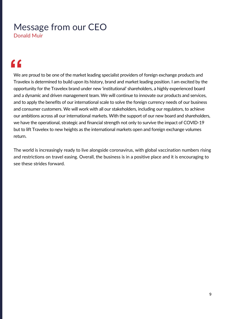## Message from our CEO Donald Muir

## **"**

We are proud to be one of the market leading specialist providers of foreign exchange products and Travelex is determined to build upon its history, brand and market leading position. I am excited by the opportunity for the Travelex brand under new 'institutional' shareholders, a highly experienced board and a dynamic and driven management team. We will continue to innovate our products and services, and to apply the benefits of our international scale to solve the foreign currency needs of our business and consumer customers. We will work with all our stakeholders, including our regulators, to achieve our ambitions across all our international markets. With the support of our new board and shareholders, we have the operational, strategic and financial strength not only to survive the impact of COVID-19 but to lift Travelex to new heights as the international markets open and foreign exchange volumes return.

The world is increasingly ready to live alongside coronavirus, with global vaccination numbers rising and restrictions on travel easing. Overall, the business is in a positive place and it is encouraging to see these strides forward.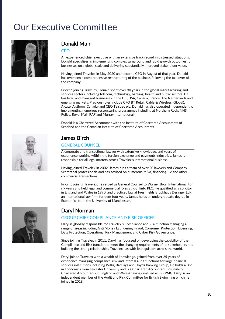## Our Executive Committee



#### Donald Muir

#### CEO

An experienced chief executive with an extensive track record in distressed situations. Donald specialises in implementing complex turnaround and rapid growth outcomes for businesses on a global scale and delivering substantially improved stakeholder value.

Having joined Travelex in May 2020 and become CEO in August of that year, Donald has overseen a comprehensive restructuring of the business following the takeover of the company.

Prior to joining Travelex, Donald spent over 30 years in the global manufacturing and services sectors including telecom, technology, banking, health and public sectors. He has lived and managed businesses in the UK, USA, Canada, France, The Netherlands and emerging markets. Previous roles include CFO BT Retail, Cable & Wireless (Global), Alcatel Alsthom (Canada) and CEO Telspec plc. Donald has also operated independently, implementing numerous restructuring programmes including at Northern Rock, NHS, Police, Royal Mail, RAF and Murray International.

Donald is a Chartered Accountant with the Institute of Chartered Accountants of Scotland and the Canadian Institute of Chartered Accountants.



### James Birch

#### GENERAL COUNSEL

A corporate and transactional lawyer with extensive knowledge, and years of experience working within, the foreign exchange and payments industries, James is responsible for all legal matters across Travelex's international business.

Having joined Travelex in 2002, James runs a team of over 20 lawyers and Company Secretarial professionals and has advised on numerous M&A, financing, JV and other commercial transactions.

Prior to joining Travelex, he served as General Counsel to Warner Bros. International for six years and held legal and commercial roles at Rio Tinto PLC. He qualified as a solicitor in England and Wales in 1990, and practiced law at Freshfields Bruckhaus Deringer LLP, an international law firm, for over four years. James holds an undergraduate degree in Economics from the University of Manchester.

#### Daryl Norman

#### GROUP CHIEF COMPLIANCE AND RISK OFFICER

Daryl is globally responsible for Travelex's Compliance and Risk function managing a range of areas including Anti Money Laundering, Fraud, Consumer Protection, Licensing, Data Protection, Operational Risk Management and Cyber Risk Governance.

Since joining Travelex in 2011, Daryl has focussed on developing the capability of the Compliance and Risk function to meet the changing requirements of its stakeholders and building the strong relationships Travelex has with its regulators across the world.

Daryl joined Travelex with a wealth of knowledge, gained from over 25 years of experience managing compliance, risk and internal audit functions for large financial services institutions including Willis, Barclays and Lloyds Banking Group, He holds a BSc in Economics from Leicester University and is a Chartered Accountant (Institute of Chartered Accountants in England and Wales) having qualified with KPMG. Daryl is an independent member of the Audit and Risk Committee for British Swimming which he joined in 2018.

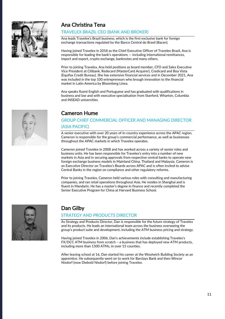

## Ana Christina Tena

#### TRAVELEX BRAZIL CEO (BANK AND BROKER)

Ana leads Travelex's Brazil business, which is the first exclusive bank for foreign exchange transactions regulated by the Banco Central do Brasil (Bacen).

Having joined Travelex in 2018 as the Chief Executive Officer of Travelex Brazil, Ana is responsible for leading the bank's operations ― including international remittances, import and export, crypto exchange, banknotes and many others.

Prior to joining Travelex, Ana held positions as board member, CFO and Sales Executive Vice President at Citibank, Redecard (MasterCard Acquirer), Credicard and Boa Vista (Equifax Credit Bureau). She has extensive financial services and in December 2021, Ana was included in the top 100 entrepreneurs who brough innovation to the financial market in Latin America by Bloomberg Línea.

Ana speaks fluent English and Portuguese and has graduated with qualifications in business and law and with executive specialisation from Stanford, Wharton, Columbia and INSEAD universities.

### Cameron Hume

#### GROUP CHIEF COMMERCIAL OFFICER AND MANAGING DIRECTOR (ASIA PACIFIC)

A senior executive with over 20 years of in-country experience across the APAC region, Cameron is responsible for the group's commercial performance, as well as businesses throughout the APAC markets in which Travelex operates.

Cameron joined Travelex in 2008 and has worked across a variety of senior roles and business units. He has been responsible for Travelex's entry into a number of new markets in Asia and in securing approvals from respective central banks to operate new foreign exchange business models in Mainland China, Thailand and Malaysia. Cameron is an Executive Director on Travelex's Boards across APAC and is often invited to advise Central Banks in the region on compliance and other regulatory reforms.

Prior to joining Travelex, Cameron held various roles with consulting and manufacturing companies, and ran retail operations throughout Asia. He resides in Shanghai and is fluent in Mandarin. He has a master's degree in finance and recently completed the Senior Executive Program for China at Harvard Business School.



### Dan Gilby

#### STRATEGY AND PRODUCTS DIRECTOR

As Strategy and Products Director, Dan is responsible for the future strategy of Travelex and its products. He leads an international team across the business overseeing the group's product suite and development, including the ATM business pricing and strategy.

Having joined Travelex in 2006, Dan's achievements include establishing Travelex's FX/DCC ATM business from scratch – a business that has deployed new ATM products, including more than 1500 ATMs, in over 15 counties.

After leaving school at 16, Dan started his career at the Woolwich Building Society as an apprentice. He subsequently went on to work for Barclays Bank and then Wincor Nixdorf (now Diebold Nixdorf) before joining Travelex.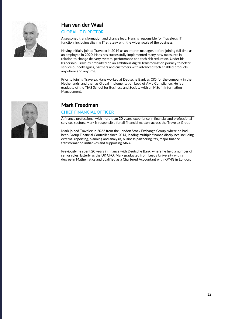

## Han van der Waal

GLOBAL IT DIRECTOR

A seasoned transformation and change lead, Hans is responsible for Travelex's IT function, including aligning IT strategy with the wider goals of the business.

Having initially joined Travelex in 2019 as an interim manager, before joining full time as an employee in 2020, Hans has successfully implemented many new measures in relation to change delivery system, performance and tech risk reduction. Under his leadership, Travelex embarked on an ambitious digital transformation journey to better service our colleagues, partners and customers with advanced tech enabled products, anywhere and anytime.

Prior to joining Travelex, Hans worked at Deutsche Bank as CIO for the company in the Netherlands, and then as Global Implementation Lead of AML Compliance. He is a graduate of the TIAS School for Business and Society with an MSc in Information Management.



### Mark Freedman

#### CHIEF FINANCIAL OFFICER

A finance professional with more than 30 years' experience in financial and professional services sectors. Mark is responsible for all financial matters across the Travelex Group.

Mark joined Travelex in 2022 from the London Stock Exchange Group, where he had been Group Financial Controller since 2014, leading multiple finance disciplines including external reporting, planning and analysis, business partnering, tax, major finance transformation initiatives and supporting M&A.

Previously he spent 20 years in finance with Deutsche Bank, where he held a number of senior roles, latterly as the UK CFO. Mark graduated from Leeds University with a degree in Mathematics and qualified as a Chartered Accountant with KPMG in London.